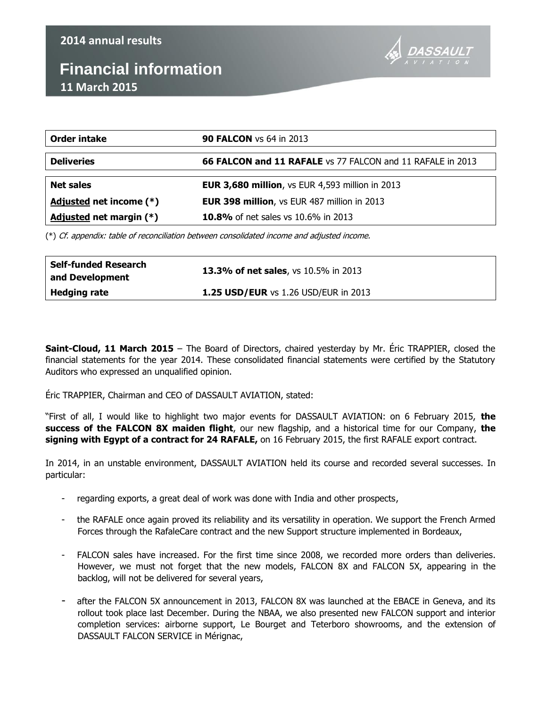## **Financial information 11 March 2015**



| Order intake              | <b>90 FALCON</b> vs 64 in 2013                             |  |  |
|---------------------------|------------------------------------------------------------|--|--|
| <b>Deliveries</b>         | 66 FALCON and 11 RAFALE vs 77 FALCON and 11 RAFALE in 2013 |  |  |
|                           |                                                            |  |  |
| <b>Net sales</b>          | <b>EUR 3,680 million, vs EUR 4,593 million in 2013</b>     |  |  |
| Adjusted net income (*)   | <b>EUR 398 million, vs EUR 487 million in 2013</b>         |  |  |
| Adjusted net margin $(*)$ | 10.8% of net sales vs 10.6% in 2013                        |  |  |

(\*) Cf. appendix: table of reconciliation between consolidated income and adjusted income.

| Self-funded Research<br>and Development | <b>13.3% of net sales</b> , vs 10.5% in 2013 |
|-----------------------------------------|----------------------------------------------|
| <b>Hedging rate</b>                     | <b>1.25 USD/EUR</b> vs 1.26 USD/EUR in 2013  |

**Saint-Cloud, 11 March 2015** – The Board of Directors, chaired yesterday by Mr. Éric TRAPPIER, closed the financial statements for the year 2014. These consolidated financial statements were certified by the Statutory Auditors who expressed an unqualified opinion.

Éric TRAPPIER, Chairman and CEO of DASSAULT AVIATION, stated:

"First of all, I would like to highlight two major events for DASSAULT AVIATION: on 6 February 2015, **the success of the FALCON 8X maiden flight**, our new flagship, and a historical time for our Company, **the signing with Egypt of a contract for 24 RAFALE,** on 16 February 2015, the first RAFALE export contract.

In 2014, in an unstable environment, DASSAULT AVIATION held its course and recorded several successes. In particular:

- regarding exports, a great deal of work was done with India and other prospects,
- the RAFALE once again proved its reliability and its versatility in operation. We support the French Armed Forces through the RafaleCare contract and the new Support structure implemented in Bordeaux,
- FALCON sales have increased. For the first time since 2008, we recorded more orders than deliveries. However, we must not forget that the new models, FALCON 8X and FALCON 5X, appearing in the backlog, will not be delivered for several years,
- after the FALCON 5X announcement in 2013, FALCON 8X was launched at the EBACE in Geneva, and its rollout took place last December. During the NBAA, we also presented new FALCON support and interior completion services: airborne support, Le Bourget and Teterboro showrooms, and the extension of DASSAULT FALCON SERVICE in Mérignac,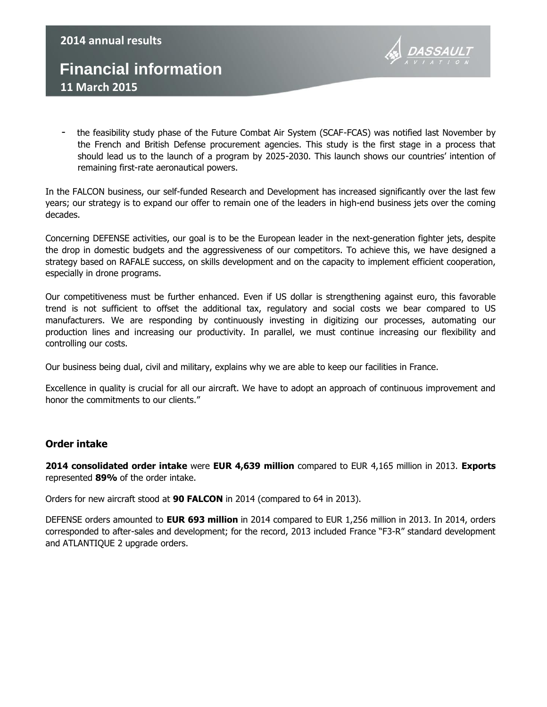## **Financial information 11 March 2015 2014 annual results**



the feasibility study phase of the Future Combat Air System (SCAF-FCAS) was notified last November by the French and British Defense procurement agencies. This study is the first stage in a process that should lead us to the launch of a program by 2025-2030. This launch shows our countries' intention of remaining first-rate aeronautical powers.

In the FALCON business, our self-funded Research and Development has increased significantly over the last few years; our strategy is to expand our offer to remain one of the leaders in high-end business jets over the coming decades.

Concerning DEFENSE activities, our goal is to be the European leader in the next-generation fighter jets, despite the drop in domestic budgets and the aggressiveness of our competitors. To achieve this, we have designed a strategy based on RAFALE success, on skills development and on the capacity to implement efficient cooperation, especially in drone programs.

Our competitiveness must be further enhanced. Even if US dollar is strengthening against euro, this favorable trend is not sufficient to offset the additional tax, regulatory and social costs we bear compared to US manufacturers. We are responding by continuously investing in digitizing our processes, automating our production lines and increasing our productivity. In parallel, we must continue increasing our flexibility and controlling our costs.

Our business being dual, civil and military, explains why we are able to keep our facilities in France.

Excellence in quality is crucial for all our aircraft. We have to adopt an approach of continuous improvement and honor the commitments to our clients."

#### **Order intake**

**2014 consolidated order intake** were **EUR 4,639 million** compared to EUR 4,165 million in 2013. **Exports**  represented **89%** of the order intake.

Orders for new aircraft stood at **90 FALCON** in 2014 (compared to 64 in 2013).

DEFENSE orders amounted to **EUR 693 million** in 2014 compared to EUR 1,256 million in 2013. In 2014, orders corresponded to after-sales and development; for the record, 2013 included France "F3-R" standard development and ATLANTIQUE 2 upgrade orders.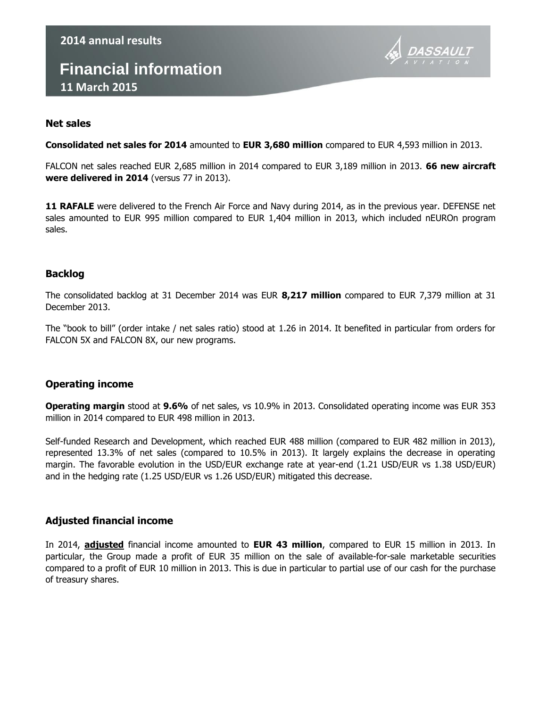## **Financial information 11 March 2015**



#### **Net sales**

**Consolidated net sales for 2014** amounted to **EUR 3,680 million** compared to EUR 4,593 million in 2013.

FALCON net sales reached EUR 2,685 million in 2014 compared to EUR 3,189 million in 2013. **66 new aircraft were delivered in 2014** (versus 77 in 2013).

**11 RAFALE** were delivered to the French Air Force and Navy during 2014, as in the previous year. DEFENSE net sales amounted to EUR 995 million compared to EUR 1,404 million in 2013, which included nEUROn program sales.

#### **Backlog**

The consolidated backlog at 31 December 2014 was EUR **8,217 million** compared to EUR 7,379 million at 31 December 2013.

The "book to bill" (order intake / net sales ratio) stood at 1.26 in 2014. It benefited in particular from orders for FALCON 5X and FALCON 8X, our new programs.

#### **Operating income**

**Operating margin** stood at **9.6%** of net sales, vs 10.9% in 2013. Consolidated operating income was EUR 353 million in 2014 compared to EUR 498 million in 2013.

Self-funded Research and Development, which reached EUR 488 million (compared to EUR 482 million in 2013), represented 13.3% of net sales (compared to 10.5% in 2013). It largely explains the decrease in operating margin. The favorable evolution in the USD/EUR exchange rate at year-end (1.21 USD/EUR vs 1.38 USD/EUR) and in the hedging rate (1.25 USD/EUR vs 1.26 USD/EUR) mitigated this decrease.

#### **Adjusted financial income**

In 2014, **adjusted** financial income amounted to **EUR 43 million**, compared to EUR 15 million in 2013. In particular, the Group made a profit of EUR 35 million on the sale of available-for-sale marketable securities compared to a profit of EUR 10 million in 2013. This is due in particular to partial use of our cash for the purchase of treasury shares.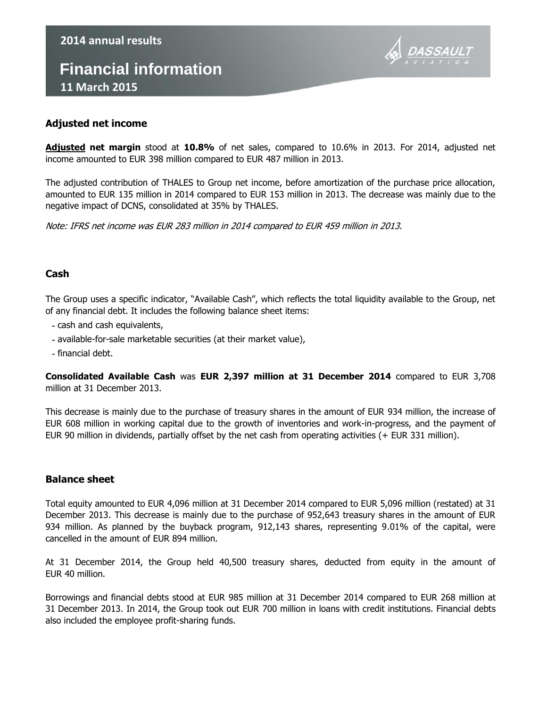# **Financial information 11 March 2015**



#### **Adjusted net income**

**2014 annual results**

**Adjusted net margin** stood at **10.8%** of net sales, compared to 10.6% in 2013. For 2014, adjusted net income amounted to EUR 398 million compared to EUR 487 million in 2013.

The adjusted contribution of THALES to Group net income, before amortization of the purchase price allocation, amounted to EUR 135 million in 2014 compared to EUR 153 million in 2013. The decrease was mainly due to the negative impact of DCNS, consolidated at 35% by THALES.

Note: IFRS net income was EUR 283 million in 2014 compared to EUR 459 million in 2013.

#### **Cash**

The Group uses a specific indicator, "Available Cash", which reflects the total liquidity available to the Group, net of any financial debt. It includes the following balance sheet items:

- cash and cash equivalents,
- available-for-sale marketable securities (at their market value),
- financial debt.

**Consolidated Available Cash** was **EUR 2,397 million at 31 December 2014** compared to EUR 3,708 million at 31 December 2013.

This decrease is mainly due to the purchase of treasury shares in the amount of EUR 934 million, the increase of EUR 608 million in working capital due to the growth of inventories and work-in-progress, and the payment of EUR 90 million in dividends, partially offset by the net cash from operating activities (+ EUR 331 million).

#### **Balance sheet**

Total equity amounted to EUR 4,096 million at 31 December 2014 compared to EUR 5,096 million (restated) at 31 December 2013. This decrease is mainly due to the purchase of 952,643 treasury shares in the amount of EUR 934 million. As planned by the buyback program, 912,143 shares, representing 9.01% of the capital, were cancelled in the amount of EUR 894 million.

At 31 December 2014, the Group held 40,500 treasury shares, deducted from equity in the amount of EUR 40 million.

Borrowings and financial debts stood at EUR 985 million at 31 December 2014 compared to EUR 268 million at 31 December 2013. In 2014, the Group took out EUR 700 million in loans with credit institutions. Financial debts also included the employee profit-sharing funds.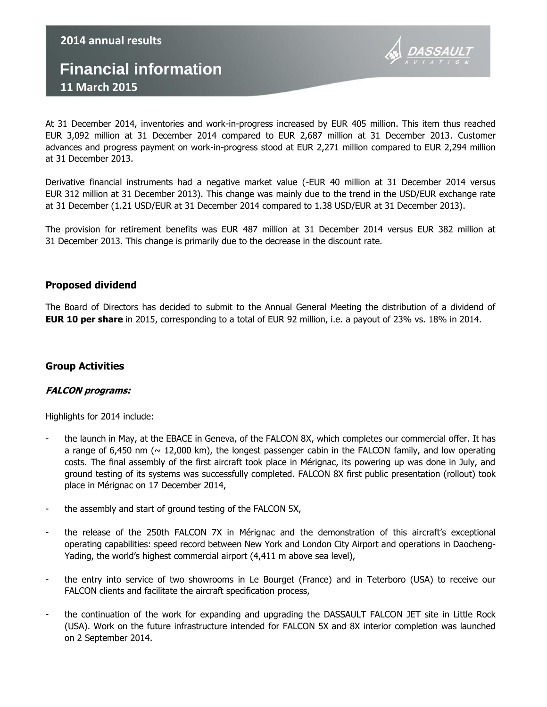### **Financial information 11 March 2015**



At 31 December 2014, inventories and work-in-progress increased by EUR 405 million. This item thus reached EUR 3,092 million at 31 December 2014 compared to EUR 2,687 million at 31 December 2013. Customer advances and progress payment on work-in-progress stood at EUR 2,271 million compared to EUR 2,294 million at 31 December 2013.

Derivative financial instruments had a negative market value (-EUR 40 million at 31 December 2014 versus EUR 312 million at 31 December 2013). This change was mainly due to the trend in the USD/EUR exchange rate at 31 December (1.21 USD/EUR at 31 December 2014 compared to 1.38 USD/EUR at 31 December 2013).

The provision for retirement benefits was EUR 487 million at 31 December 2014 versus EUR 382 million at 31 December 2013. This change is primarily due to the decrease in the discount rate.

#### **Proposed dividend**

The Board of Directors has decided to submit to the Annual General Meeting the distribution of a dividend of **EUR 10 per share** in 2015, corresponding to a total of EUR 92 million, i.e. a payout of 23% vs. 18% in 2014.

#### **Group Activities**

#### **FALCON programs:**

Highlights for 2014 include:

- the launch in May, at the EBACE in Geneva, of the FALCON 8X, which completes our commercial offer. It has a range of 6,450 nm ( $\sim$  12,000 km), the longest passenger cabin in the FALCON family, and low operating costs. The final assembly of the first aircraft took place in Mérignac, its powering up was done in July, and ground testing of its systems was successfully completed. FALCON 8X first public presentation (rollout) took place in Mérignac on 17 December 2014,
- the assembly and start of ground testing of the FALCON 5X,
- the release of the 250th FALCON 7X in Mérignac and the demonstration of this aircraft's exceptional operating capabilities: speed record between New York and London City Airport and operations in Daocheng-Yading, the world's highest commercial airport (4,411 m above sea level),
- the entry into service of two showrooms in Le Bourget (France) and in Teterboro (USA) to receive our FALCON clients and facilitate the aircraft specification process,
- the continuation of the work for expanding and upgrading the DASSAULT FALCON JET site in Little Rock (USA). Work on the future infrastructure intended for FALCON 5X and 8X interior completion was launched on 2 September 2014.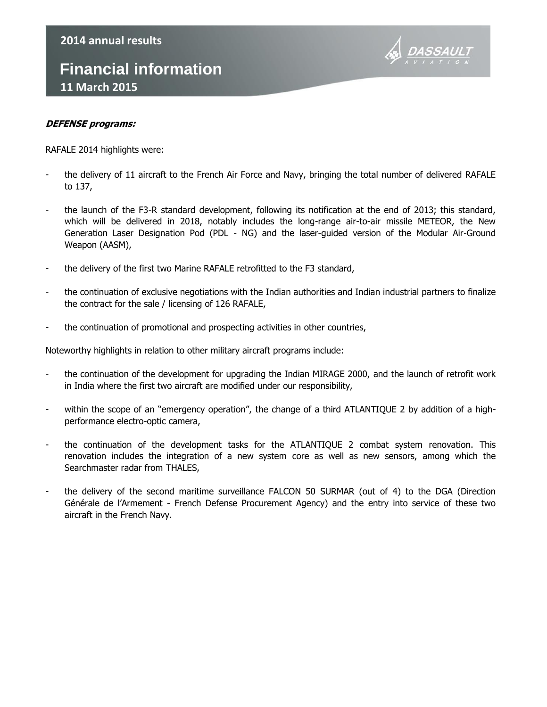## **Financial information 11 March 2015**



#### **DEFENSE programs:**

RAFALE 2014 highlights were:

- the delivery of 11 aircraft to the French Air Force and Navy, bringing the total number of delivered RAFALE to 137,
- the launch of the F3-R standard development, following its notification at the end of 2013; this standard, which will be delivered in 2018, notably includes the long-range air-to-air missile METEOR, the New Generation Laser Designation Pod (PDL - NG) and the laser-guided version of the Modular Air-Ground Weapon (AASM),
- the delivery of the first two Marine RAFALE retrofitted to the F3 standard,
- the continuation of exclusive negotiations with the Indian authorities and Indian industrial partners to finalize the contract for the sale / licensing of 126 RAFALE,
- the continuation of promotional and prospecting activities in other countries,

Noteworthy highlights in relation to other military aircraft programs include:

- the continuation of the development for upgrading the Indian MIRAGE 2000, and the launch of retrofit work in India where the first two aircraft are modified under our responsibility,
- within the scope of an "emergency operation", the change of a third ATLANTIQUE 2 by addition of a highperformance electro-optic camera,
- the continuation of the development tasks for the ATLANTIQUE 2 combat system renovation. This renovation includes the integration of a new system core as well as new sensors, among which the Searchmaster radar from THALES,
- the delivery of the second maritime surveillance FALCON 50 SURMAR (out of 4) to the DGA (Direction Générale de l'Armement - French Defense Procurement Agency) and the entry into service of these two aircraft in the French Navy.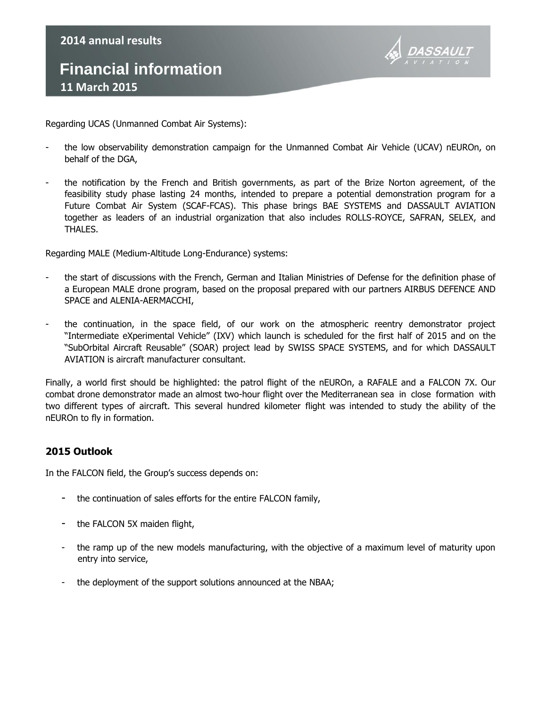## **Financial information 11 March 2015 2014 annual results**



Regarding UCAS (Unmanned Combat Air Systems):

- the low observability demonstration campaign for the Unmanned Combat Air Vehicle (UCAV) nEUROn, on behalf of the DGA,
- the notification by the French and British governments, as part of the Brize Norton agreement, of the feasibility study phase lasting 24 months, intended to prepare a potential demonstration program for a Future Combat Air System (SCAF-FCAS). This phase brings BAE SYSTEMS and DASSAULT AVIATION together as leaders of an industrial organization that also includes ROLLS-ROYCE, SAFRAN, SELEX, and THALES.

Regarding MALE (Medium-Altitude Long-Endurance) systems:

- the start of discussions with the French, German and Italian Ministries of Defense for the definition phase of a European MALE drone program, based on the proposal prepared with our partners AIRBUS DEFENCE AND SPACE and ALENIA-AERMACCHI,
- the continuation, in the space field, of our work on the atmospheric reentry demonstrator project "Intermediate eXperimental Vehicle" (IXV) which launch is scheduled for the first half of 2015 and on the "SubOrbital Aircraft Reusable" (SOAR) project lead by SWISS SPACE SYSTEMS, and for which DASSAULT AVIATION is aircraft manufacturer consultant.

Finally, a world first should be highlighted: the patrol flight of the nEUROn, a RAFALE and a FALCON 7X. Our combat drone demonstrator made an almost two-hour flight over the Mediterranean sea in close formation with two different types of aircraft. This several hundred kilometer flight was intended to study the ability of the nEUROn to fly in formation.

#### **2015 Outlook**

In the FALCON field, the Group's success depends on:

- the continuation of sales efforts for the entire FALCON family,
- the FALCON 5X maiden flight,
- the ramp up of the new models manufacturing, with the objective of a maximum level of maturity upon entry into service,
- the deployment of the support solutions announced at the NBAA;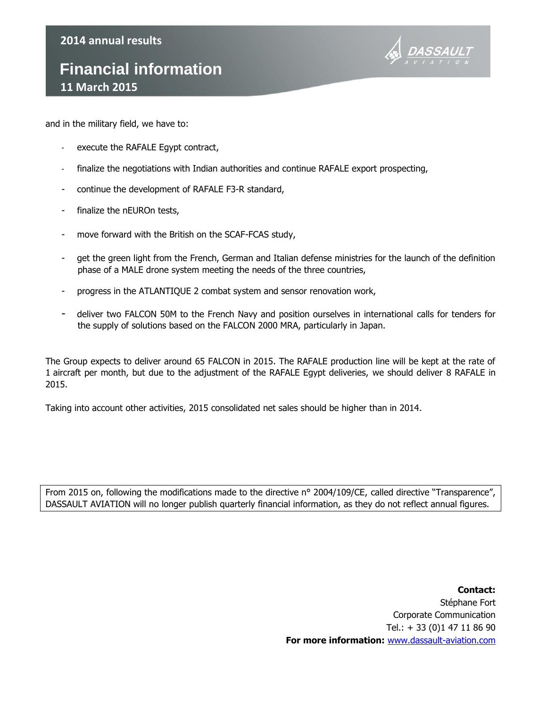## **Financial information 11 March 2015**



and in the military field, we have to:

- execute the RAFALE Egypt contract,
- finalize the negotiations with Indian authorities and continue RAFALE export prospecting,
- continue the development of RAFALE F3-R standard,
- finalize the nEUROn tests,
- move forward with the British on the SCAF-FCAS study,
- get the green light from the French, German and Italian defense ministries for the launch of the definition phase of a MALE drone system meeting the needs of the three countries,
- progress in the ATLANTIQUE 2 combat system and sensor renovation work,
- deliver two FALCON 50M to the French Navy and position ourselves in international calls for tenders for the supply of solutions based on the FALCON 2000 MRA, particularly in Japan.

The Group expects to deliver around 65 FALCON in 2015. The RAFALE production line will be kept at the rate of 1 aircraft per month, but due to the adjustment of the RAFALE Egypt deliveries, we should deliver 8 RAFALE in 2015.

Taking into account other activities, 2015 consolidated net sales should be higher than in 2014.

From 2015 on, following the modifications made to the directive n° 2004/109/CE, called directive "Transparence", DASSAULT AVIATION will no longer publish quarterly financial information, as they do not reflect annual figures.

> **Contact:** Stéphane Fort Corporate Communication Tel.: + 33 (0)1 47 11 86 90 **For more information:** [www.dassault-aviation.com](http://www.dassault-aviation.com/)